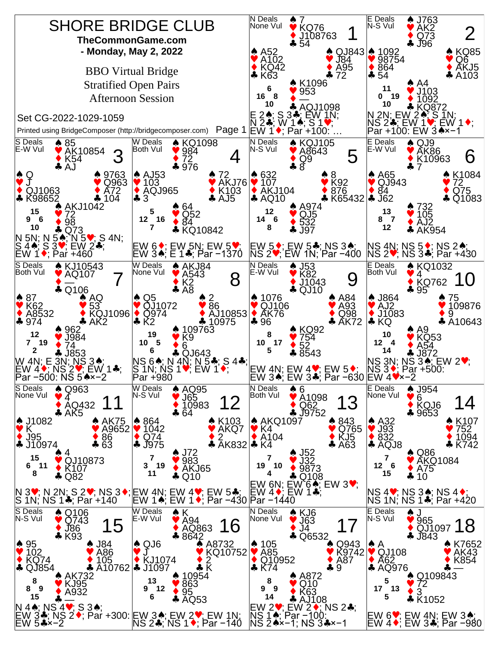